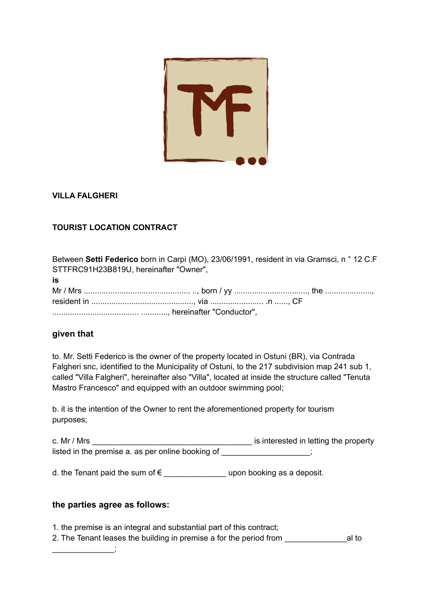

## **VILLA FALGHERI**

## **TOURIST LOCATION CONTRACT**

| Between Setti Federico born in Carpi (MO), 23/06/1991, resident in via Gramsci, n ° 12 C.F |  |  |
|--------------------------------------------------------------------------------------------|--|--|
| STTFRC91H23B819U, hereinafter "Owner",                                                     |  |  |
| is                                                                                         |  |  |
|                                                                                            |  |  |
|                                                                                            |  |  |
|                                                                                            |  |  |

## **given that**

to. Mr. Setti Federico is the owner of the property located in Ostuni (BR), via Contrada Falgheri snc, identified to the Municipality of Ostuni, to the 217 subdivision map 241 sub 1, called "Villa Falgheri", hereinafter also "Villa", located at inside the structure called "Tenuta Mastro Francesco" and equipped with an outdoor swimming pool;

b. it is the intention of the Owner to rent the aforementioned property for tourism purposes;

c. Mr / Mrs \_\_\_\_\_\_\_\_\_\_\_\_\_\_\_\_\_\_\_\_\_\_\_\_\_\_\_\_\_\_\_\_\_\_\_\_ is interested in letting the property listed in the premise a. as per online booking of \_\_\_\_\_\_\_\_\_\_\_\_\_\_\_\_\_;

d. the Tenant paid the sum of  $\epsilon$  \_\_\_\_\_\_\_\_\_\_\_\_\_\_\_\_\_\_\_ upon booking as a deposit.

## **the parties agree as follows:**

\_\_\_\_\_\_\_\_\_\_\_\_\_\_;

1. the premise is an integral and substantial part of this contract;

2. The Tenant leases the building in premise a for the period from \_\_\_\_\_\_\_\_\_\_\_\_\_\_al to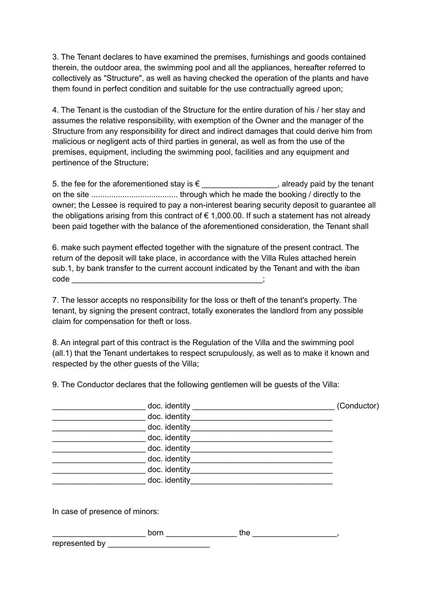3. The Tenant declares to have examined the premises, furnishings and goods contained therein, the outdoor area, the swimming pool and all the appliances, hereafter referred to collectively as "Structure", as well as having checked the operation of the plants and have them found in perfect condition and suitable for the use contractually agreed upon;

4. The Tenant is the custodian of the Structure for the entire duration of his / her stay and assumes the relative responsibility, with exemption of the Owner and the manager of the Structure from any responsibility for direct and indirect damages that could derive him from malicious or negligent acts of third parties in general, as well as from the use of the premises, equipment, including the swimming pool, facilities and any equipment and pertinence of the Structure;

5. the fee for the aforementioned stay is  $\epsilon$  \_\_\_\_\_\_\_\_\_\_\_\_\_\_\_\_\_, already paid by the tenant on the site ....................................... through which he made the booking / directly to the owner; the Lessee is required to pay a non-interest bearing security deposit to guarantee all the obligations arising from this contract of  $\epsilon$  1,000.00. If such a statement has not already been paid together with the balance of the aforementioned consideration, the Tenant shall

6. make such payment effected together with the signature of the present contract. The return of the deposit will take place, in accordance with the Villa Rules attached herein sub.1, by bank transfer to the current account indicated by the Tenant and with the iban code \_\_\_\_\_\_\_\_\_\_\_\_\_\_\_\_\_\_\_\_\_\_\_\_\_\_\_\_\_\_\_\_\_\_\_\_\_\_\_\_\_\_\_;

7. The lessor accepts no responsibility for the loss or theft of the tenant's property. The tenant, by signing the present contract, totally exonerates the landlord from any possible claim for compensation for theft or loss.

8. An integral part of this contract is the Regulation of the Villa and the swimming pool (all.1) that the Tenant undertakes to respect scrupulously, as well as to make it known and respected by the other guests of the Villa;

9. The Conductor declares that the following gentlemen will be guests of the Villa:

| doc. identity | (Conductor) |
|---------------|-------------|
| doc. identity |             |
| doc. identity |             |
| doc. identity |             |
| doc. identity |             |
| doc. identity |             |
| doc. identity |             |
| doc. identity |             |

In case of presence of minors:

| horn<br>. | the |  |
|-----------|-----|--|
|           |     |  |

represented by \_\_\_\_\_\_\_\_\_\_\_\_\_\_\_\_\_\_\_\_\_\_\_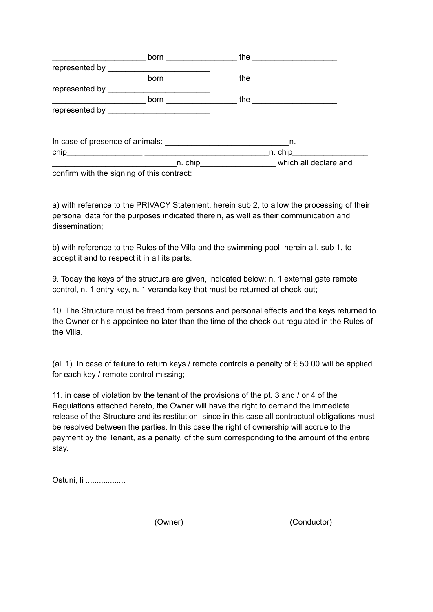|                                                                  | born                                                                                                                                                                                                                                 | the     |                       |
|------------------------------------------------------------------|--------------------------------------------------------------------------------------------------------------------------------------------------------------------------------------------------------------------------------------|---------|-----------------------|
| represented by ________                                          |                                                                                                                                                                                                                                      |         |                       |
|                                                                  | born <b>contract to the contract of the contract of the contract of the contract of the contract of the contract of the contract of the contract of the contract of the contract of the contract of the contract of the contract</b> | the     |                       |
| represented by                                                   |                                                                                                                                                                                                                                      |         |                       |
|                                                                  | born                                                                                                                                                                                                                                 | the     |                       |
|                                                                  |                                                                                                                                                                                                                                      |         |                       |
| In case of presence of animals: The case of presence of animals: |                                                                                                                                                                                                                                      | n.      |                       |
| chip                                                             | <u> 2000 - Januar Alemany, president politik (h. 1878)</u>                                                                                                                                                                           | n. chip |                       |
|                                                                  | n. chip                                                                                                                                                                                                                              |         | which all declare and |
| confirm with the signing of this contract:                       |                                                                                                                                                                                                                                      |         |                       |

a) with reference to the PRIVACY Statement, herein sub 2, to allow the processing of their personal data for the purposes indicated therein, as well as their communication and dissemination;

b) with reference to the Rules of the Villa and the swimming pool, herein all. sub 1, to accept it and to respect it in all its parts.

9. Today the keys of the structure are given, indicated below: n. 1 external gate remote control, n. 1 entry key, n. 1 veranda key that must be returned at check-out;

10. The Structure must be freed from persons and personal effects and the keys returned to the Owner or his appointee no later than the time of the check out regulated in the Rules of the Villa.

(all.1). In case of failure to return keys / remote controls a penalty of € 50.00 will be applied for each key / remote control missing;

11. in case of violation by the tenant of the provisions of the pt. 3 and / or 4 of the Regulations attached hereto, the Owner will have the right to demand the immediate release of the Structure and its restitution, since in this case all contractual obligations must be resolved between the parties. In this case the right of ownership will accrue to the payment by the Tenant, as a penalty, of the sum corresponding to the amount of the entire stay.

Ostuni, li ..................

| Owner) | (Conductor) |
|--------|-------------|
|--------|-------------|